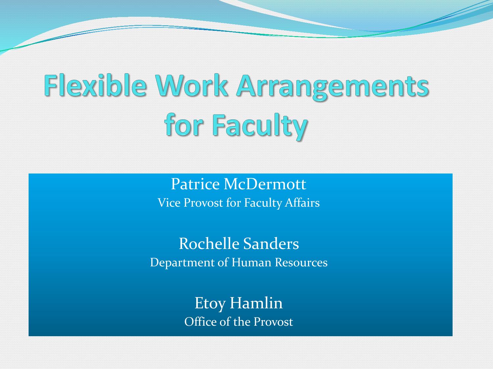# Flexible Work Arrangements for Faculty

Patrice McDermott Vice Provost for Faculty Affairs

Rochelle Sanders Department of Human Resources

> Etoy Hamlin Office of the Provost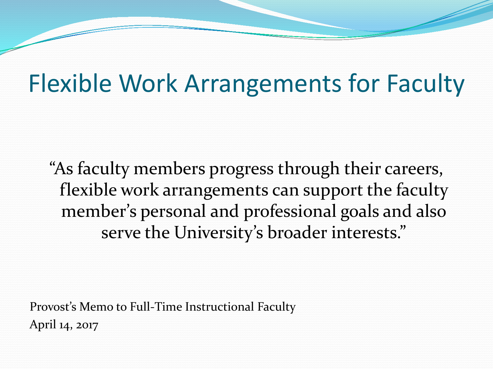## Flexible Work Arrangements for Faculty

"As faculty members progress through their careers, flexible work arrangements can support the faculty member's personal and professional goals and also serve the University's broader interests."

Provost's Memo to Full-Time Instructional Faculty April 14, 2017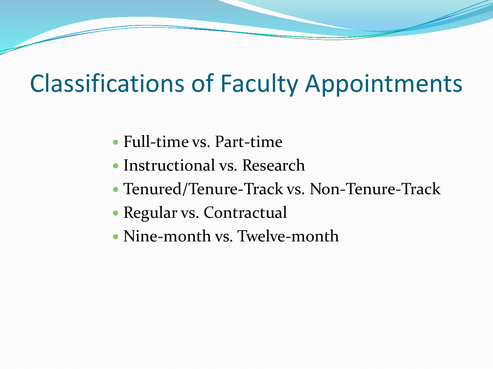## Classifications of Faculty Appointments

- Full-time vs. Part-time
- Instructional vs. Research
- Tenured/Tenure-Track vs. Non-Tenure-Track
- Regular vs. Contractual
- Nine-month vs. Twelve-month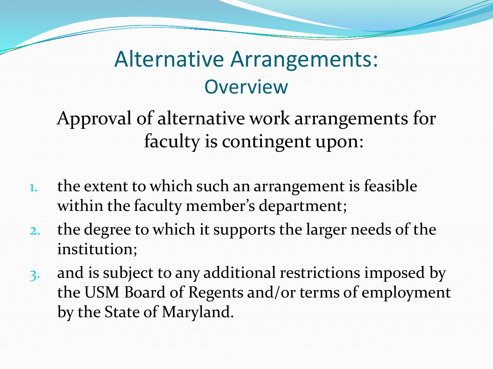#### Alternative Arrangements: **Overview**

Approval of alternative work arrangements for faculty is contingent upon:

- 1. the extent to which such an arrangement is feasible within the faculty member's department;
- 2. the degree to which it supports the larger needs of the institution;
- 3. and is subject to any additional restrictions imposed by the USM Board of Regents and/or terms of employment by the State of Maryland.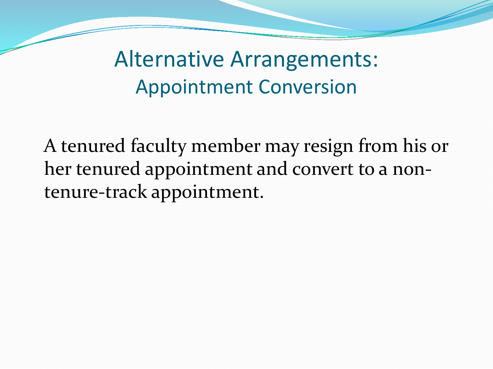Alternative Arrangements: Appointment Conversion

A tenured faculty member may resign from his or her tenured appointment and convert to a nontenure-track appointment.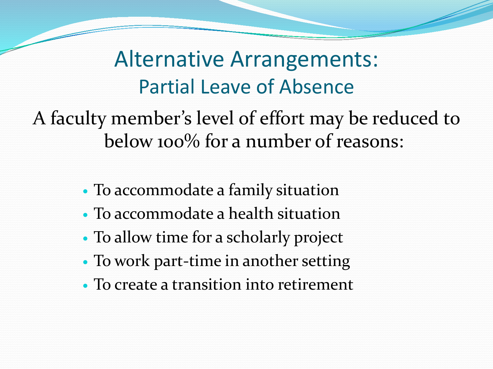Alternative Arrangements: Partial Leave of Absence

A faculty member's level of effort may be reduced to below 100% for a number of reasons:

- To accommodate a family situation
- To accommodate a health situation
- To allow time for a scholarly project
- To work part-time in another setting
- To create a transition into retirement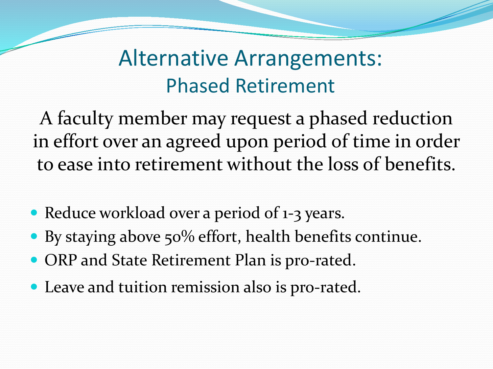#### Alternative Arrangements: Phased Retirement

A faculty member may request a phased reduction in effort over an agreed upon period of time in order to ease into retirement without the loss of benefits.

- Reduce workload over a period of 1-3 years.
- By staying above 50% effort, health benefits continue.
- ORP and State Retirement Plan is pro-rated.
- Leave and tuition remission also is pro-rated.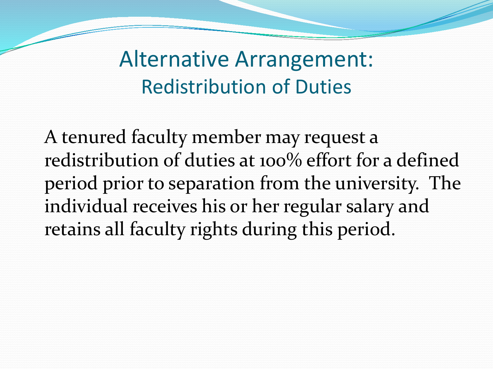Alternative Arrangement: Redistribution of Duties

A tenured faculty member may request a redistribution of duties at 100% effort for a defined period prior to separation from the university. The individual receives his or her regular salary and retains all faculty rights during this period.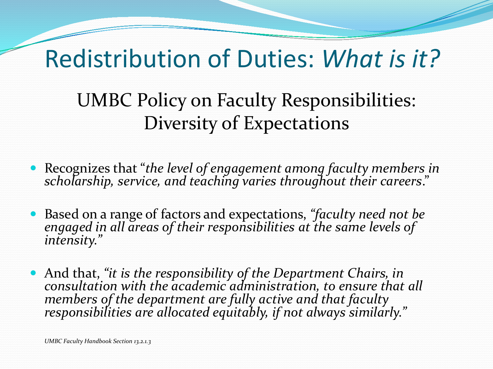## Redistribution of Duties: *What is it?*

UMBC Policy on Faculty Responsibilities: Diversity of Expectations

- Recognizes that "*the level of engagement among faculty members in scholarship, service, and teaching varies throughout their careers*."
- Based on a range of factors and expectations, *"faculty need not be engaged in all areas of their responsibilities at the same levels of intensity."*
- And that, *"it is the responsibility of the Department Chairs, in consultation with the academic administration, to ensure that all members of the department are fully active and that faculty responsibilities are allocated equitably, if not always similarly."*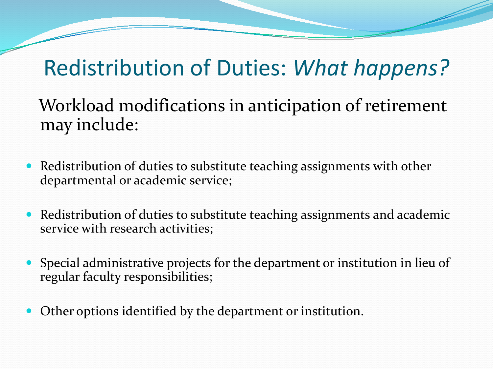### Redistribution of Duties: *What happens?*

Workload modifications in anticipation of retirement may include:

- Redistribution of duties to substitute teaching assignments with other departmental or academic service;
- Redistribution of duties to substitute teaching assignments and academic service with research activities;
- Special administrative projects for the department or institution in lieu of regular faculty responsibilities;
- Other options identified by the department or institution.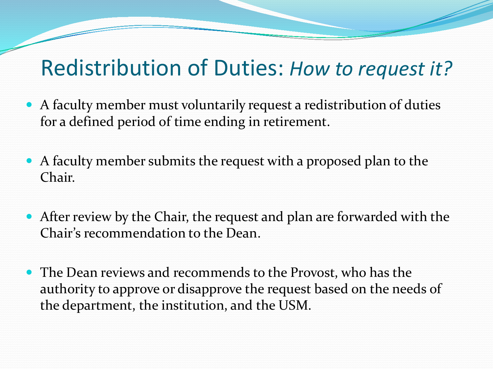#### Redistribution of Duties: *How to request it?*

- A faculty member must voluntarily request a redistribution of duties for a defined period of time ending in retirement.
- A faculty member submits the request with a proposed plan to the Chair.
- After review by the Chair, the request and plan are forwarded with the Chair's recommendation to the Dean.
- The Dean reviews and recommends to the Provost, who has the authority to approve or disapprove the request based on the needs of the department, the institution, and the USM.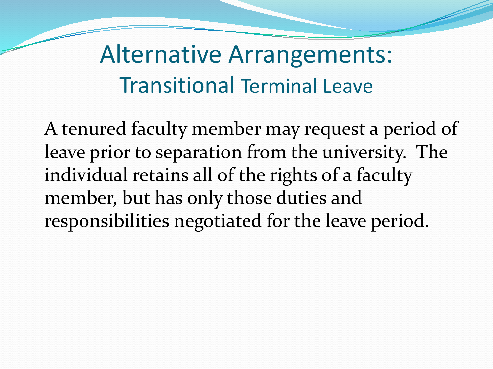## Alternative Arrangements: Transitional Terminal Leave

A tenured faculty member may request a period of leave prior to separation from the university. The individual retains all of the rights of a faculty member, but has only those duties and responsibilities negotiated for the leave period.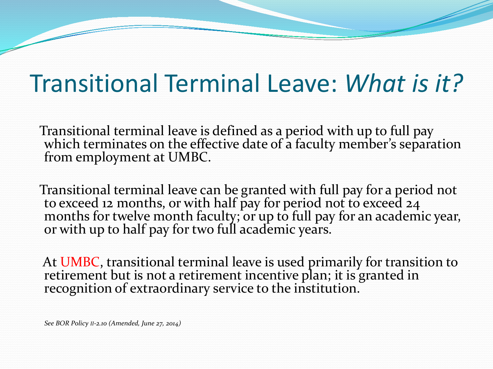## Transitional Terminal Leave: *What is it?*

Transitional terminal leave is defined as a period with up to full pay which terminates on the effective date of a faculty member's separation from employment at UMBC.

Transitional terminal leave can be granted with full pay for a period not to exceed 12 months, or with half pay for period not to exceed 24 months for twelve month faculty; or up to full pay for an academic year, or with up to half pay for two full academic years.

At UMBC, transitional terminal leave is used primarily for transition to retirement but is not a retirement incentive plan; it is granted in recognition of extraordinary service to the institution.

*See BOR Policy II-2.10 (Amended, June 27, 2014)*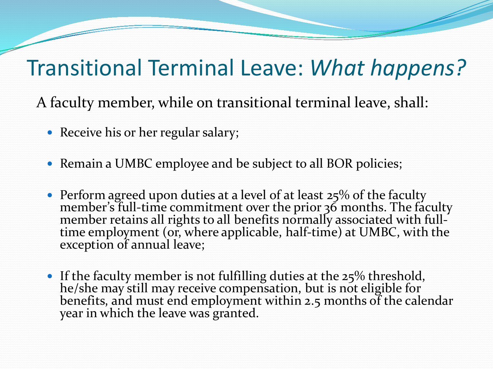#### Transitional Terminal Leave: *What happens?*

A faculty member, while on transitional terminal leave, shall:

- Receive his or her regular salary;
- Remain a UMBC employee and be subject to all BOR policies;
- Perform agreed upon duties at a level of at least 25% of the faculty member's full-time commitment over the prior 36 months. The faculty member retains all rights to all benefits normally associated with full-<br>time employment (or, where applicable, half-time) at UMBC, with the exception of annual leave;
- If the faculty member is not fulfilling duties at the  $25\%$  threshold, he/she may still may receive compensation, but is not eligible for benefits, and must end employment within 2.5 months of the calendar year in which the leave was granted.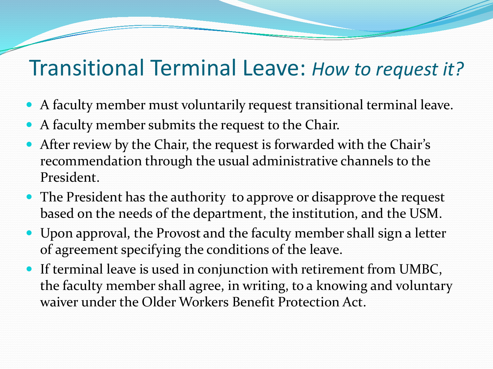#### Transitional Terminal Leave: *How to request it?*

- A faculty member must voluntarily request transitional terminal leave.
- A faculty member submits the request to the Chair.
- After review by the Chair, the request is forwarded with the Chair's recommendation through the usual administrative channels to the President.
- The President has the authority to approve or disapprove the request based on the needs of the department, the institution, and the USM.
- Upon approval, the Provost and the faculty member shall sign a letter of agreement specifying the conditions of the leave.
- If terminal leave is used in conjunction with retirement from UMBC, the faculty member shall agree, in writing, to a knowing and voluntary waiver under the Older Workers Benefit Protection Act.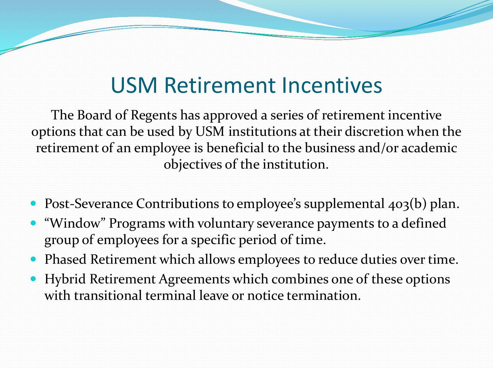#### USM Retirement Incentives

The Board of Regents has approved a series of retirement incentive options that can be used by USM institutions at their discretion when the retirement of an employee is beneficial to the business and/or academic objectives of the institution.

- Post-Severance Contributions to employee's supplemental 403(b) plan.
- "Window" Programs with voluntary severance payments to a defined group of employees for a specific period of time.
- Phased Retirement which allows employees to reduce duties over time.
- Hybrid Retirement Agreements which combines one of these options with transitional terminal leave or notice termination.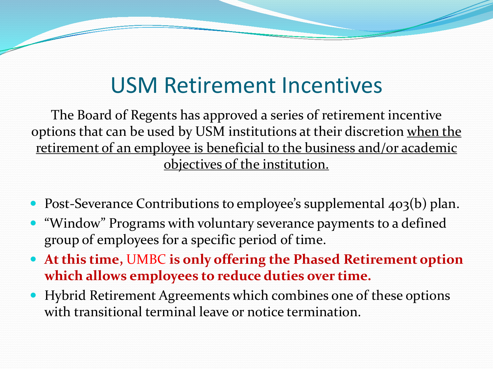#### USM Retirement Incentives

The Board of Regents has approved a series of retirement incentive options that can be used by USM institutions at their discretion when the retirement of an employee is beneficial to the business and/or academic objectives of the institution.

- Post-Severance Contributions to employee's supplemental 403(b) plan.
- "Window" Programs with voluntary severance payments to a defined group of employees for a specific period of time.
- **At this time,** UMBC **is only offering the Phased Retirement option which allows employees to reduce duties over time.**
- Hybrid Retirement Agreements which combines one of these options with transitional terminal leave or notice termination.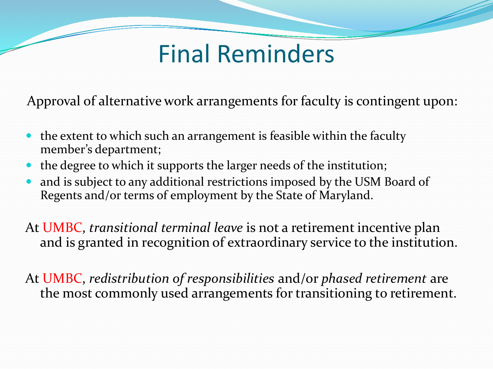## Final Reminders

Approval of alternative work arrangements for faculty is contingent upon:

- the extent to which such an arrangement is feasible within the faculty member's department;
- the degree to which it supports the larger needs of the institution;
- and is subject to any additional restrictions imposed by the USM Board of Regents and/or terms of employment by the State of Maryland.

At UMBC, *transitional terminal leave* is not a retirement incentive plan and is granted in recognition of extraordinary service to the institution.

At UMBC, *redistribution of responsibilities* and/or *phased retirement* are the most commonly used arrangements for transitioning to retirement.